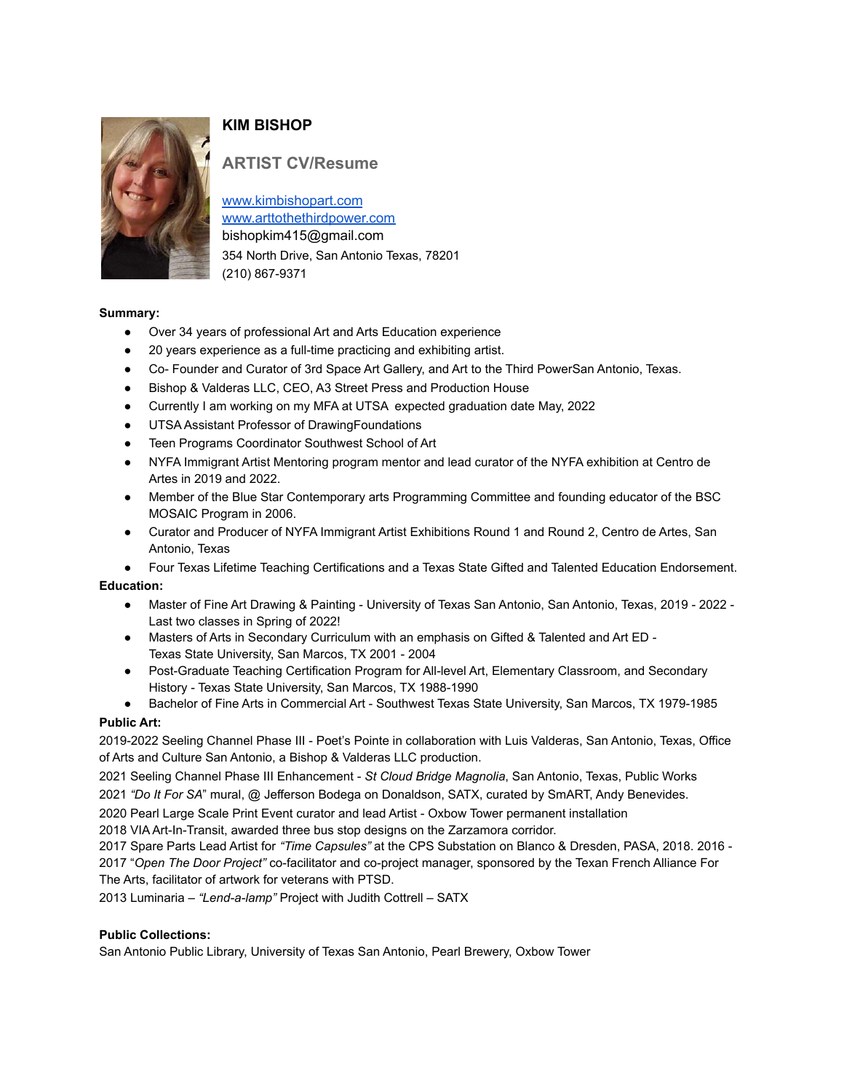

# **KIM BISHOP**

# **ARTIST CV/Resume**

www.kimbishopart.com www.arttothethirdpower.com bishopkim415@gmail.com 354 North Drive, San Antonio Texas, 78201 (210) 867-9371

# **Summary:**

- Over 34 years of professional Art and Arts Education experience
- 20 years experience as a full-time practicing and exhibiting artist.
- Co- Founder and Curator of 3rd Space Art Gallery, and Art to the Third PowerSan Antonio, Texas.
- Bishop & Valderas LLC, CEO, A3 Street Press and Production House
- Currently I am working on my MFA at UTSA expected graduation date May, 2022
- UTSA Assistant Professor of DrawingFoundations
- Teen Programs Coordinator Southwest School of Art
- NYFA Immigrant Artist Mentoring program mentor and lead curator of the NYFA exhibition at Centro de Artes in 2019 and 2022.
- Member of the Blue Star Contemporary arts Programming Committee and founding educator of the BSC MOSAIC Program in 2006.
- Curator and Producer of NYFA Immigrant Artist Exhibitions Round 1 and Round 2, Centro de Artes, San Antonio, Texas

Four Texas Lifetime Teaching Certifications and a Texas State Gifted and Talented Education Endorsement.

# **Education:**

- Master of Fine Art Drawing & Painting University of Texas San Antonio, San Antonio, Texas, 2019 2022 Last two classes in Spring of 2022!
- Masters of Arts in Secondary Curriculum with an emphasis on Gifted & Talented and Art ED -Texas State University, San Marcos, TX 2001 - 2004
- Post-Graduate Teaching Certification Program for All-level Art, Elementary Classroom, and Secondary History - Texas State University, San Marcos, TX 1988-1990
- Bachelor of Fine Arts in Commercial Art Southwest Texas State University, San Marcos, TX 1979-1985

# **Public Art:**

2019-2022 Seeling Channel Phase III - Poet's Pointe in collaboration with Luis Valderas, San Antonio, Texas, Office of Arts and Culture San Antonio, a Bishop & Valderas LLC production.

2021 Seeling Channel Phase III Enhancement - *St Cloud Bridge Magnolia*, San Antonio, Texas, Public Works 2021 *"Do It For SA*" mural, @ Jefferson Bodega on Donaldson, SATX, curated by SmART, Andy Benevides.

2020 Pearl Large Scale Print Event curator and lead Artist - Oxbow Tower permanent installation

2018 VIA Art-In-Transit, awarded three bus stop designs on the Zarzamora corridor.

2017 Spare Parts Lead Artist for *"Time Capsules"* at the CPS Substation on Blanco & Dresden, PASA, 2018. 2016 - 2017 "*Open The Door Project"* co-facilitator and co-project manager, sponsored by the Texan French Alliance For The Arts, facilitator of artwork for veterans with PTSD.

2013 Luminaria – *"Lend-a-lamp"* Project with Judith Cottrell – SATX

# **Public Collections:**

San Antonio Public Library, University of Texas San Antonio, Pearl Brewery, Oxbow Tower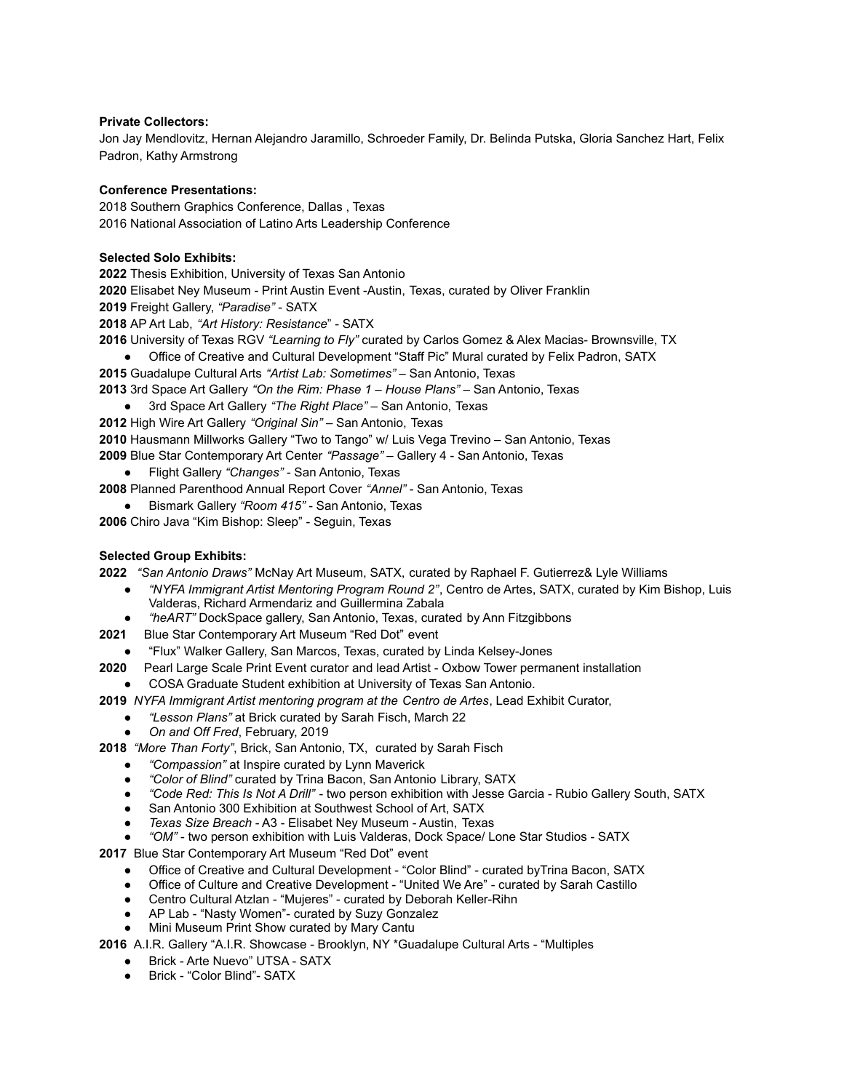#### **Private Collectors:**

Jon Jay Mendlovitz, Hernan Alejandro Jaramillo, Schroeder Family, Dr. Belinda Putska, Gloria Sanchez Hart, Felix Padron, Kathy Armstrong

#### **Conference Presentations:**

2018 Southern Graphics Conference, Dallas , Texas 2016 National Association of Latino Arts Leadership Conference

### **Selected Solo Exhibits:**

**2022** Thesis Exhibition, University of Texas San Antonio

**2020** Elisabet Ney Museum - Print Austin Event -Austin, Texas, curated by Oliver Franklin

**2019** Freight Gallery, *"Paradise"* - SATX

**2018** AP Art Lab, *"Art History: Resistance*" - SATX

- **2016** University of Texas RGV *"Learning to Fly"* curated by Carlos Gomez & Alex Macias- Brownsville, TX
	- Office of Creative and Cultural Development "Staff Pic" Mural curated by Felix Padron, SATX

**2015** Guadalupe Cultural Arts *"Artist Lab: Sometimes"* – San Antonio, Texas

- **2013** 3rd Space Art Gallery *"On the Rim: Phase 1 – House Plans"* San Antonio, Texas
	- 3rd Space Art Gallery *"The Right Place"* San Antonio, Texas
- **2012** High Wire Art Gallery *"Original Sin"* San Antonio, Texas

**2010** Hausmann Millworks Gallery "Two to Tango" w/ Luis Vega Trevino – San Antonio, Texas

**2009** Blue Star Contemporary Art Center *"Passage"* – Gallery 4 - San Antonio, Texas

● Flight Gallery *"Changes"* - San Antonio, Texas

**2008** Planned Parenthood Annual Report Cover *"Annel"* - San Antonio, Texas

● Bismark Gallery *"Room 415"* - San Antonio, Texas

**2006** Chiro Java "Kim Bishop: Sleep" - Seguin, Texas

# **Selected Group Exhibits:**

**2022** *"San Antonio Draws"* McNay Art Museum, SATX, curated by Raphael F. Gutierrez& Lyle Williams

- *"NYFA Immigrant Artist Mentoring Program Round 2"*, Centro de Artes, SATX, curated by Kim Bishop, Luis Valderas, Richard Armendariz and Guillermina Zabala
- *"heART"* DockSpace gallery, San Antonio, Texas, curated by Ann Fitzgibbons
- **2021** Blue Star Contemporary Art Museum "Red Dot" event
- "Flux" Walker Gallery, San Marcos, Texas, curated by Linda Kelsey-Jones
- **2020** Pearl Large Scale Print Event curator and lead Artist Oxbow Tower permanent installation
	- COSA Graduate Student exhibition at University of Texas San Antonio.
- **2019** *NYFA Immigrant Artist mentoring program at the Centro de Artes*, Lead Exhibit Curator,
	- *"Lesson Plans"* at Brick curated by Sarah Fisch, March 22
	- *On and Off Fred*, February, 2019

**2018** *"More Than Forty"*, Brick, San Antonio, TX, curated by Sarah Fisch

- *"Compassion"* at Inspire curated by Lynn Maverick
- *"Color of Blind"* curated by Trina Bacon, San Antonio Library, SATX
- *"Code Red: This Is Not A Drill"* two person exhibition with Jesse Garcia Rubio Gallery South, SATX
- San Antonio 300 Exhibition at Southwest School of Art, SATX
- *Texas Size Breach* A3 Elisabet Ney Museum Austin, Texas
- *"OM"* two person exhibition with Luis Valderas, Dock Space/ Lone Star Studios SATX

**2017** Blue Star Contemporary Art Museum "Red Dot" event

- Office of Creative and Cultural Development "Color Blind" curated byTrina Bacon, SATX
- Office of Culture and Creative Development "United We Are" curated by Sarah Castillo
- Centro Cultural Atzlan "Mujeres" curated by Deborah Keller-Rihn
- AP Lab "Nasty Women"- curated by Suzy Gonzalez
- **Mini Museum Print Show curated by Mary Cantu**

**2016** A.I.R. Gallery "A.I.R. Showcase - Brooklyn, NY \*Guadalupe Cultural Arts - "Multiples

- Brick Arte Nuevo" UTSA SATX
- Brick "Color Blind"- SATX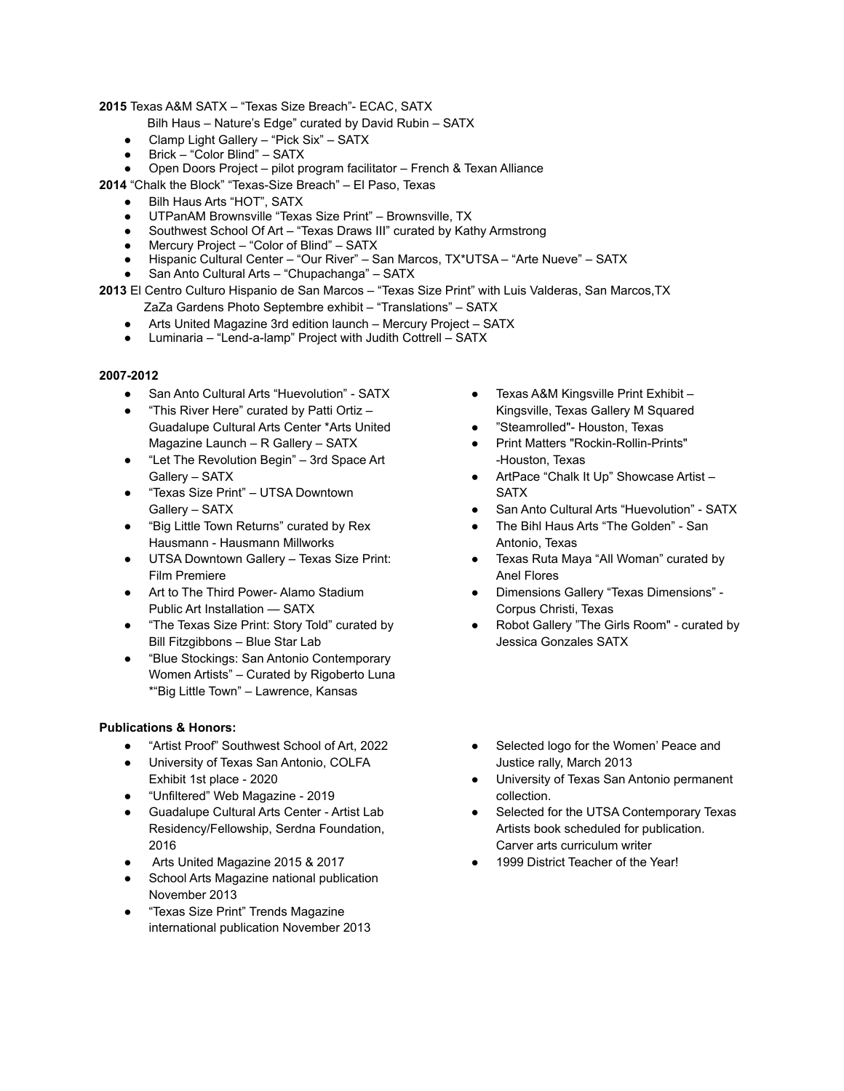### **2015** Texas A&M SATX – "Texas Size Breach"- ECAC, SATX

Bilh Haus – Nature's Edge" curated by David Rubin – SATX

- Clamp Light Gallery "Pick Six" SATX
- Brick "Color Blind" SATX
- Open Doors Project pilot program facilitator French & Texan Alliance

**2014** "Chalk the Block" "Texas-Size Breach" – El Paso, Texas

- Bilh Haus Arts "HOT", SATX
- UTPanAM Brownsville "Texas Size Print" Brownsville, TX
- Southwest School Of Art "Texas Draws III" curated by Kathy Armstrong
- Mercury Project "Color of Blind" SATX
- Hispanic Cultural Center "Our River" San Marcos, TX\*UTSA "Arte Nueve" SATX
- San Anto Cultural Arts "Chupachanga" SATX

**2013** El Centro Culturo Hispanio de San Marcos – "Texas Size Print" with Luis Valderas, San Marcos,TX

- ZaZa Gardens Photo Septembre exhibit "Translations" SATX ● Arts United Magazine 3rd edition launch – Mercury Project – SATX
- Luminaria "Lend-a-lamp" Project with Judith Cottrell SATX

#### **2007-2012**

- San Anto Cultural Arts "Huevolution" SATX
- "This River Here" curated by Patti Ortiz Guadalupe Cultural Arts Center \*Arts United Magazine Launch – R Gallery – SATX
- "Let The Revolution Begin" 3rd Space Art Gallery – SATX
- "Texas Size Print" UTSA Downtown Gallery – SATX
- "Big Little Town Returns" curated by Rex Hausmann - Hausmann Millworks
- UTSA Downtown Gallery Texas Size Print: Film Premiere
- Art to The Third Power- Alamo Stadium Public Art Installation — SATX
- "The Texas Size Print: Story Told" curated by Bill Fitzgibbons – Blue Star Lab
- "Blue Stockings: San Antonio Contemporary Women Artists" – Curated by Rigoberto Luna \*"Big Little Town" – Lawrence, Kansas

#### **Publications & Honors:**

- "Artist Proof" Southwest School of Art, 2022
- University of Texas San Antonio, COLFA Exhibit 1st place - 2020
- "Unfiltered" Web Magazine 2019
- Guadalupe Cultural Arts Center Artist Lab Residency/Fellowship, Serdna Foundation, 2016
- Arts United Magazine 2015 & 2017
- School Arts Magazine national publication November 2013
- "Texas Size Print" Trends Magazine international publication November 2013
- Texas A&M Kingsville Print Exhibit Kingsville, Texas Gallery M Squared
- "Steamrolled"- Houston, Texas
- Print Matters "Rockin-Rollin-Prints" -Houston, Texas
- ArtPace "Chalk It Up" Showcase Artist -**SATX**
- San Anto Cultural Arts "Huevolution" SATX
- The Bihl Haus Arts "The Golden" San Antonio, Texas
- Texas Ruta Maya "All Woman" curated by Anel Flores
- Dimensions Gallery "Texas Dimensions" Corpus Christi, Texas
- Robot Gallery "The Girls Room" curated by Jessica Gonzales SATX
- Selected logo for the Women' Peace and Justice rally, March 2013
- University of Texas San Antonio permanent collection.
- Selected for the UTSA Contemporary Texas Artists book scheduled for publication. Carver arts curriculum writer
- 1999 District Teacher of the Year!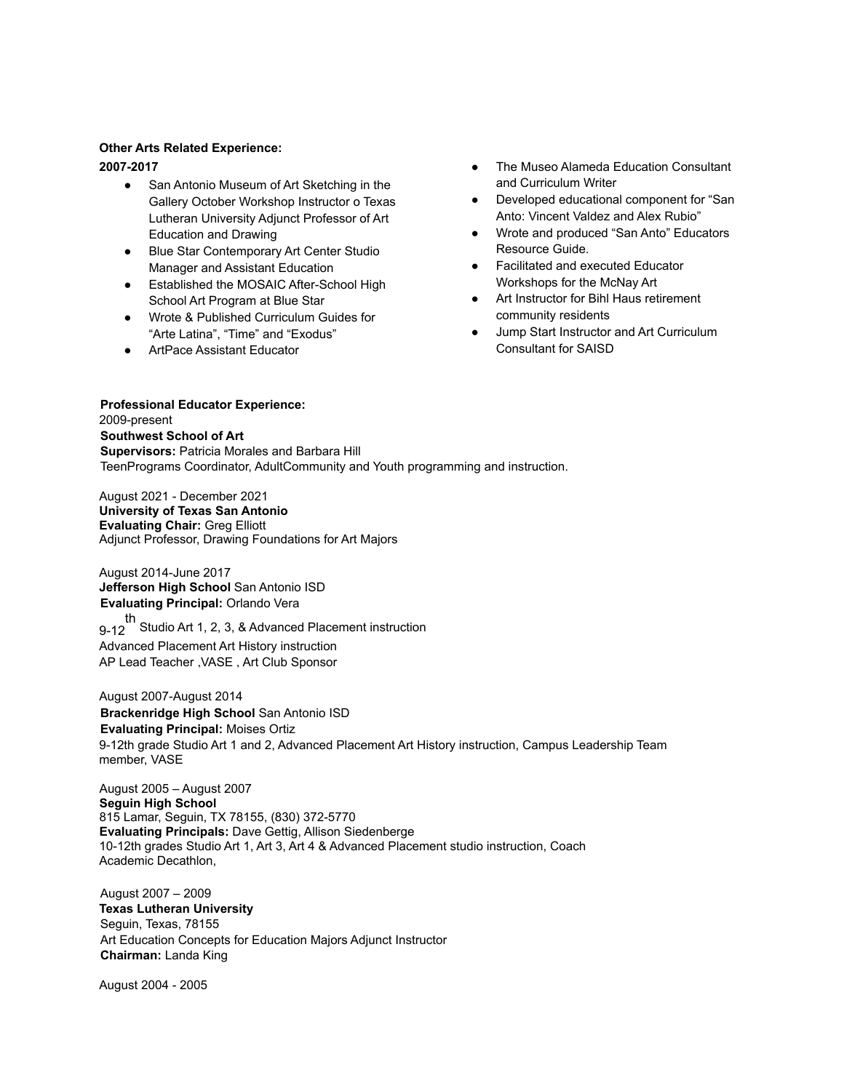#### **Other Arts Related Experience: 2007-2017**

- San Antonio Museum of Art Sketching in the Gallery October Workshop Instructor o Texas Lutheran University Adjunct Professor of Art Education and Drawing
- Blue Star Contemporary Art Center Studio Manager and Assistant Education
- Established the MOSAIC After-School High School Art Program at Blue Star
- Wrote & Published Curriculum Guides for "Arte Latina", "Time" and "Exodus"
- ArtPace Assistant Educator
- The Museo Alameda Education Consultant and Curriculum Writer
- Developed educational component for "San Anto: Vincent Valdez and Alex Rubio"
- Wrote and produced "San Anto" Educators Resource Guide.
- Facilitated and executed Educator Workshops for the McNay Art
- Art Instructor for Bihl Haus retirement community residents
- Jump Start Instructor and Art Curriculum Consultant for SAISD

**Professional Educator Experience:** 2009-present **Southwest School of Art Supervisors:** Patricia Morales and Barbara Hill TeenPrograms Coordinator, AdultCommunity and Youth programming and instruction.

August 2021 - December 2021 **University of Texas San Antonio Evaluating Chair:** Greg Elliott Adjunct Professor, Drawing Foundations for Art Majors

August 2014-June 2017 **Jefferson High School** San Antonio ISD **Evaluating Principal:** Orlando Vera

9-12 th Studio Art 1, 2, 3, & Advanced Placement instruction Advanced Placement Art History instruction AP Lead Teacher ,VASE , Art Club Sponsor

August 2007-August 2014 **Brackenridge High School** San Antonio ISD **Evaluating Principal:** Moises Ortiz 9-12th grade Studio Art 1 and 2, Advanced Placement Art History instruction, Campus Leadership Team member, VASE

August 2005 – August 2007 **Seguin High School** 815 Lamar, Seguin, TX 78155, (830) 372-5770 **Evaluating Principals:** Dave Gettig, Allison Siedenberge 10-12th grades Studio Art 1, Art 3, Art 4 & Advanced Placement studio instruction, Coach Academic Decathlon,

August 2007 – 2009 **Texas Lutheran University** Seguin, Texas, 78155 Art Education Concepts for Education Majors Adjunct Instructor **Chairman:** Landa King

August 2004 - 2005